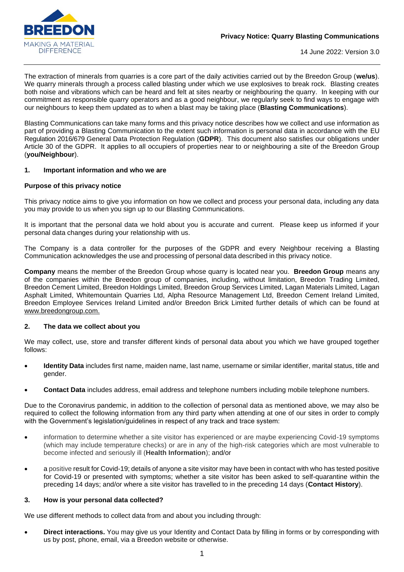

14 June 2022: Version 3.0

The extraction of minerals from quarries is a core part of the daily activities carried out by the Breedon Group (**we/us**). We quarry minerals through a process called blasting under which we use explosives to break rock. Blasting creates both noise and vibrations which can be heard and felt at sites nearby or neighbouring the quarry. In keeping with our commitment as responsible quarry operators and as a good neighbour, we regularly seek to find ways to engage with our neighbours to keep them updated as to when a blast may be taking place (**Blasting Communications**).

Blasting Communications can take many forms and this privacy notice describes how we collect and use information as part of providing a Blasting Communication to the extent such information is personal data in accordance with the EU Regulation 2016/679 General Data Protection Regulation (**GDPR**). This document also satisfies our obligations under Article 30 of the GDPR. It applies to all occupiers of properties near to or neighbouring a site of the Breedon Group (**you/Neighbour**).

#### **1. Important information and who we are**

#### **Purpose of this privacy notice**

This privacy notice aims to give you information on how we collect and process your personal data, including any data you may provide to us when you sign up to our Blasting Communications.

It is important that the personal data we hold about you is accurate and current. Please keep us informed if your personal data changes during your relationship with us.

The Company is a data controller for the purposes of the GDPR and every Neighbour receiving a Blasting Communication acknowledges the use and processing of personal data described in this privacy notice.

**Company** means the member of the Breedon Group whose quarry is located near you. **Breedon Group** means any of the companies within the Breedon group of companies, including, without limitation, Breedon Trading Limited, Breedon Cement Limited, Breedon Holdings Limited, Breedon Group Services Limited, Lagan Materials Limited, Lagan Asphalt Limited, Whitemountain Quarries Ltd, Alpha Resource Management Ltd, Breedon Cement Ireland Limited, Breedon Employee Services Ireland Limited and/or Breedon Brick Limited further details of which can be found at [www.breedongroup.com.](http://www.breedongroup.com/)

#### **2. The data we collect about you**

We may collect, use, store and transfer different kinds of personal data about you which we have grouped together follows:

- **Identity Data** includes first name, maiden name, last name, username or similar identifier, marital status, title and gender.
- **Contact Data** includes address, email address and telephone numbers including mobile telephone numbers.

Due to the Coronavirus pandemic, in addition to the collection of personal data as mentioned above, we may also be required to collect the following information from any third party when attending at one of our sites in order to comply with the Government's legislation/guidelines in respect of any track and trace system:

- information to determine whether a site visitor has experienced or are maybe experiencing Covid-19 symptoms (which may include temperature checks) or are in any of the high-risk categories which are most vulnerable to become infected and seriously ill (**Health Information**); and/or
- a positive result for Covid-19; details of anyone a site visitor may have been in contact with who has tested positive for Covid-19 or presented with symptoms; whether a site visitor has been asked to self-quarantine within the preceding 14 days; and/or where a site visitor has travelled to in the preceding 14 days (**Contact History**).

#### **3. How is your personal data collected?**

We use different methods to collect data from and about you including through:

• **Direct interactions.** You may give us your Identity and Contact Data by filling in forms or by corresponding with us by post, phone, email, via a Breedon website or otherwise.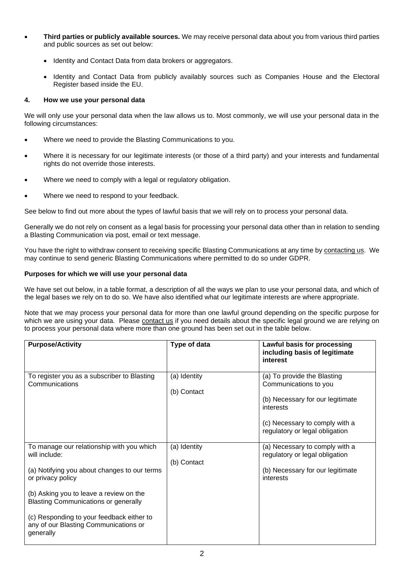- **Third parties or publicly available sources.** We may receive personal data about you from various third parties and public sources as set out below:
	- Identity and Contact Data from data brokers or aggregators.
	- Identity and Contact Data from publicly availably sources such as Companies House and the Electoral Register based inside the EU.

## **4. How we use your personal data**

We will only use your personal data when the law allows us to. Most commonly, we will use your personal data in the following circumstances:

- Where we need to provide the Blasting Communications to you.
- Where it is necessary for our legitimate interests (or those of a third party) and your interests and fundamental rights do not override those interests.
- Where we need to comply with a legal or regulatory obligation.
- Where we need to respond to your feedback.

See below to find out more about the types of lawful basis that we will rely on to process your personal data.

Generally we do not rely on consent as a legal basis for processing your personal data other than in relation to sending a Blasting Communication via post, email or text message.

You have the right to withdraw consent to receiving specific Blasting Communications at any time by [contacting us.](#page-3-0) We may continue to send generic Blasting Communications where permitted to do so under GDPR.

## **Purposes for which we will use your personal data**

We have set out below, in a table format, a description of all the ways we plan to use your personal data, and which of the legal bases we rely on to do so. We have also identified what our legitimate interests are where appropriate.

Note that we may process your personal data for more than one lawful ground depending on the specific purpose for which we are using your data. Please [contact us](#page-3-0) if you need details about the specific legal ground we are relying on to process your personal data where more than one ground has been set out in the table below.

| <b>Purpose/Activity</b>                                                                                                                                                                                                                                                                                                      | Type of data                | Lawful basis for processing<br>including basis of legitimate<br>interest                                                                                                  |
|------------------------------------------------------------------------------------------------------------------------------------------------------------------------------------------------------------------------------------------------------------------------------------------------------------------------------|-----------------------------|---------------------------------------------------------------------------------------------------------------------------------------------------------------------------|
| To register you as a subscriber to Blasting<br>Communications                                                                                                                                                                                                                                                                | (a) Identity<br>(b) Contact | (a) To provide the Blasting<br>Communications to you<br>(b) Necessary for our legitimate<br>interests<br>(c) Necessary to comply with a<br>regulatory or legal obligation |
| To manage our relationship with you which<br>will include:<br>(a) Notifying you about changes to our terms<br>or privacy policy<br>(b) Asking you to leave a review on the<br><b>Blasting Communications or generally</b><br>(c) Responding to your feedback either to<br>any of our Blasting Communications or<br>generally | (a) Identity<br>(b) Contact | (a) Necessary to comply with a<br>regulatory or legal obligation<br>(b) Necessary for our legitimate<br>interests                                                         |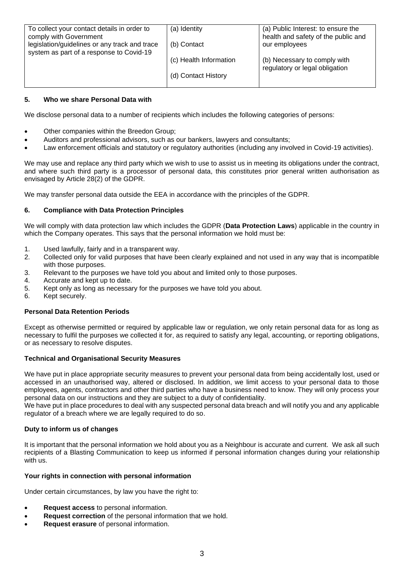| To collect your contact details in order to   | (a) Identity           | (a) Public Interest: to ensure the  |
|-----------------------------------------------|------------------------|-------------------------------------|
|                                               |                        |                                     |
| comply with Government                        |                        | health and safety of the public and |
| legislation/guidelines or any track and trace | (b) Contact            | our employees                       |
|                                               |                        |                                     |
| system as part of a response to Covid-19      |                        |                                     |
|                                               | (c) Health Information | (b) Necessary to comply with        |
|                                               |                        |                                     |
|                                               |                        | regulatory or legal obligation      |
|                                               | (d) Contact History    |                                     |
|                                               |                        |                                     |
|                                               |                        |                                     |

## **5. Who we share Personal Data with**

We disclose personal data to a number of recipients which includes the following categories of persons:

- Other companies within the Breedon Group;
- Auditors and professional advisors, such as our bankers, lawyers and consultants;
- Law enforcement officials and statutory or regulatory authorities (including any involved in Covid-19 activities).

We may use and replace any third party which we wish to use to assist us in meeting its obligations under the contract, and where such third party is a processor of personal data, this constitutes prior general written authorisation as envisaged by Article 28(2) of the GDPR.

We may transfer personal data outside the EEA in accordance with the principles of the GDPR.

# **6. Compliance with Data Protection Principles**

We will comply with data protection law which includes the GDPR (**Data Protection Laws**) applicable in the country in which the Company operates. This says that the personal information we hold must be:

- 1. Used lawfully, fairly and in a transparent way.
- 2. Collected only for valid purposes that have been clearly explained and not used in any way that is incompatible with those purposes.
- 3. Relevant to the purposes we have told you about and limited only to those purposes.
- 4. Accurate and kept up to date.
- 5. Kept only as long as necessary for the purposes we have told you about.
- 6. Kept securely.

## **Personal Data Retention Periods**

Except as otherwise permitted or required by applicable law or regulation, we only retain personal data for as long as necessary to fulfil the purposes we collected it for, as required to satisfy any legal, accounting, or reporting obligations, or as necessary to resolve disputes.

## **Technical and Organisational Security Measures**

We have put in place appropriate security measures to prevent your personal data from being accidentally lost, used or accessed in an unauthorised way, altered or disclosed. In addition, we limit access to your personal data to those employees, agents, contractors and other third parties who have a business need to know. They will only process your personal data on our instructions and they are subject to a duty of confidentiality.

We have put in place procedures to deal with any suspected personal data breach and will notify you and any applicable regulator of a breach where we are legally required to do so.

## **Duty to inform us of changes**

It is important that the personal information we hold about you as a Neighbour is accurate and current. We ask all such recipients of a Blasting Communication to keep us informed if personal information changes during your relationship with us.

## **Your rights in connection with personal information**

Under certain circumstances, by law you have the right to:

- **Request access** to personal information.
- **Request correction** of the personal information that we hold.
- **Request erasure** of personal information.